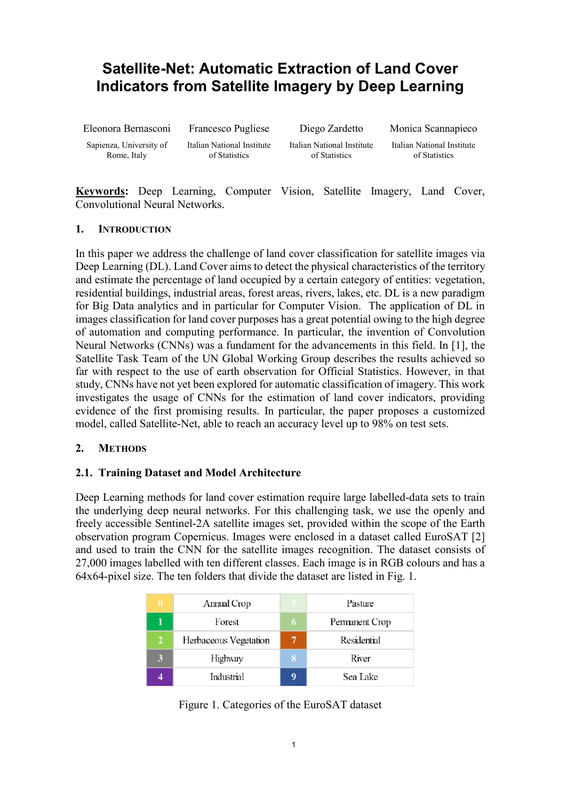# **Satellite-Net: Automatic Extraction of Land Cover Indicators from Satellite Imagery by Deep Learning**

Eleonora Bernasconi

Francesco Pugliese

Diego Zardetto

Monica Scannapieco

Sapienza, University of Rome, Italy

Italian National Institute of Statistics

Italian National Institute of Statistics

Italian National Institute of Statistics

**Keywords:** Deep Learning, Computer Vision, Satellite Imagery, Land Cover, Convolutional Neural Networks.

#### **1. INTRODUCTION**

In this paper we address the challenge of land cover classification for satellite images via Deep Learning (DL). Land Cover aims to detect the physical characteristics of the territory and estimate the percentage of land occupied by a certain category of entities: vegetation, residential buildings, industrial areas, forest areas, rivers, lakes, etc. DL is a new paradigm for Big Data analytics and in particular for Computer Vision. The application of DL in images classification for land cover purposes has a great potential owing to the high degree of automation and computing performance. In particular, the invention of Convolution Neural Networks (CNNs) was a fundament for the advancements in this field. In [1], the Satellite Task Team of the UN Global Working Group describes the results achieved so far with respect to the use of earth observation for Official Statistics. However, in that study, CNNs have not yet been explored for automatic classification of imagery. This work investigates the usage of CNNs for the estimation of land cover indicators, providing evidence of the first promising results. In particular, the paper proposes a customized model, called Satellite-Net, able to reach an accuracy level up to 98% on test sets.

## **2. METHODS**

## **2.1. Training Dataset and Model Architecture**

Deep Learning methods for land cover estimation require large labelled-data sets to train the underlying deep neural networks. For this challenging task, we use the openly and freely accessible Sentinel-2A satellite images set, provided within the scope of the Earth observation program Copernicus. Images were enclosed in a dataset called EuroSAT [2] and used to train the CNN for the satellite images recognition. The dataset consists of 27,000 images labelled with ten different classes. Each image is in RGB colours and has a 64x64-pixel size. The ten folders that divide the dataset are listed in Fig. 1.

| $\mathbf{0}$ | Annual Crop           |   | Pasture        |
|--------------|-----------------------|---|----------------|
|              | Forest                | 6 | Permanent Crop |
| 2            | Herbaceous Vegetation | 7 | Residential    |
|              | Highway               | 8 | River          |
|              | Industrial            | q | Sea Lake       |

Figure 1. Categories of the EuroSAT dataset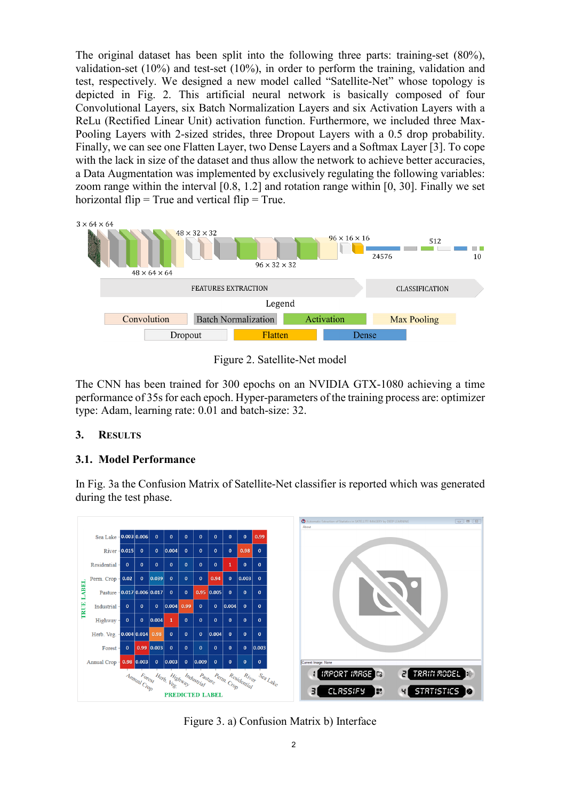The original dataset has been split into the following three parts: training-set (80%), validation-set (10%) and test-set (10%), in order to perform the training, validation and test, respectively. We designed a new model called "Satellite-Net" whose topology is depicted in Fig. 2. This artificial neural network is basically composed of four Convolutional Layers, six Batch Normalization Layers and six Activation Layers with a ReLu (Rectified Linear Unit) activation function. Furthermore, we included three Max-Pooling Layers with 2-sized strides, three Dropout Layers with a 0.5 drop probability. Finally, we can see one Flatten Layer, two Dense Layers and a Softmax Layer [3]. To cope with the lack in size of the dataset and thus allow the network to achieve better accuracies, a Data Augmentation was implemented by exclusively regulating the following variables: zoom range within the interval [0.8, 1.2] and rotation range within [0, 30]. Finally we set horizontal flip  $=$  True and vertical flip  $=$  True.



Figure 2. Satellite-Net model

The CNN has been trained for 300 epochs on an NVIDIA GTX-1080 achieving a time performance of 35s for each epoch. Hyper-parameters of the training process are: optimizer type: Adam, learning rate: 0.01 and batch-size: 32.

## **3. RESULTS**

## **3.1. Model Performance**

In Fig. 3a the Confusion Matrix of Satellite-Net classifier is reported which was generated during the test phase.



Figure 3. a) Confusion Matrix b) Interface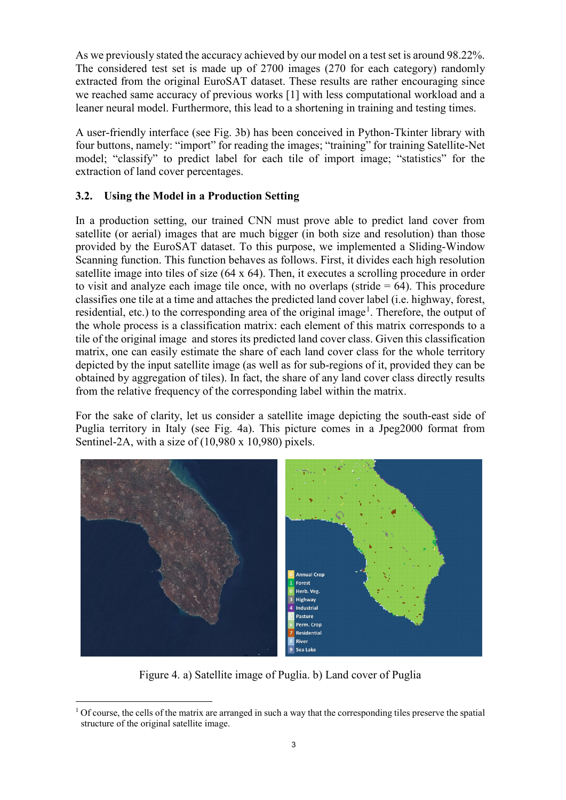As we previously stated the accuracy achieved by our model on a test set is around 98.22%. The considered test set is made up of 2700 images (270 for each category) randomly extracted from the original EuroSAT dataset. These results are rather encouraging since we reached same accuracy of previous works [1] with less computational workload and a leaner neural model. Furthermore, this lead to a shortening in training and testing times.

A user-friendly interface (see Fig. 3b) has been conceived in Python-Tkinter library with four buttons, namely: "import" for reading the images; "training" for training Satellite-Net model; "classify" to predict label for each tile of import image; "statistics" for the extraction of land cover percentages.

#### **3.2. Using the Model in a Production Setting**

In a production setting, our trained CNN must prove able to predict land cover from satellite (or aerial) images that are much bigger (in both size and resolution) than those provided by the EuroSAT dataset. To this purpose, we implemented a Sliding-Window Scanning function. This function behaves as follows. First, it divides each high resolution satellite image into tiles of size (64 x 64). Then, it executes a scrolling procedure in order to visit and analyze each image tile once, with no overlaps (stride  $= 64$ ). This procedure classifies one tile at a time and attaches the predicted land cover label (i.e. highway, forest, residential, etc.) to the corresponding area of the original image<sup>[1](#page-2-0)</sup>. Therefore, the output of the whole process is a classification matrix: each element of this matrix corresponds to a tile of the original image and stores its predicted land cover class. Given this classification matrix, one can easily estimate the share of each land cover class for the whole territory depicted by the input satellite image (as well as for sub-regions of it, provided they can be obtained by aggregation of tiles). In fact, the share of any land cover class directly results from the relative frequency of the corresponding label within the matrix.

For the sake of clarity, let us consider a satellite image depicting the south-east side of Puglia territory in Italy (see Fig. 4a). This picture comes in a Jpeg2000 format from Sentinel-2A, with a size of  $(10,980 \times 10,980)$  pixels.



Figure 4. a) Satellite image of Puglia. b) Land cover of Puglia

<span id="page-2-0"></span> $1$  Of course, the cells of the matrix are arranged in such a way that the corresponding tiles preserve the spatial structure of the original satellite image.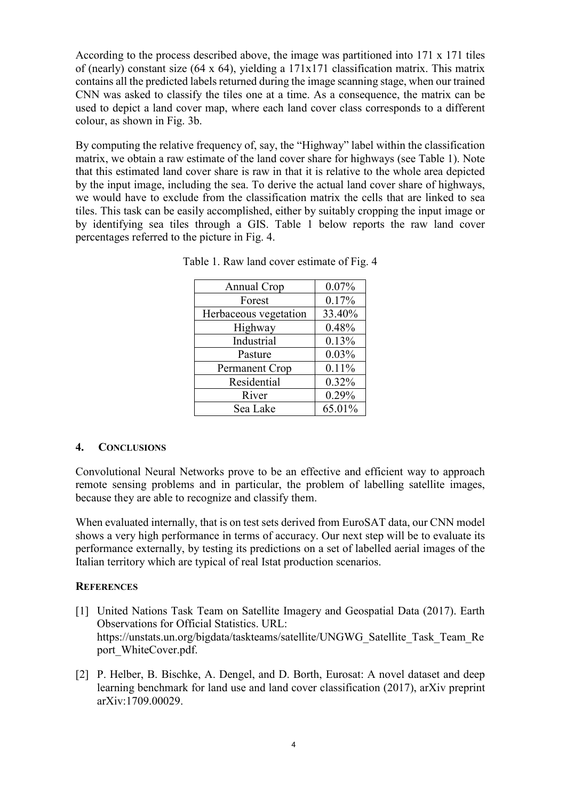According to the process described above, the image was partitioned into 171 x 171 tiles of (nearly) constant size (64 x 64), yielding a 171x171 classification matrix. This matrix contains all the predicted labels returned during the image scanning stage, when our trained CNN was asked to classify the tiles one at a time. As a consequence, the matrix can be used to depict a land cover map, where each land cover class corresponds to a different colour, as shown in Fig. 3b.

By computing the relative frequency of, say, the "Highway" label within the classification matrix, we obtain a raw estimate of the land cover share for highways (see Table 1). Note that this estimated land cover share is raw in that it is relative to the whole area depicted by the input image, including the sea. To derive the actual land cover share of highways, we would have to exclude from the classification matrix the cells that are linked to sea tiles. This task can be easily accomplished, either by suitably cropping the input image or by identifying sea tiles through a GIS. Table 1 below reports the raw land cover percentages referred to the picture in Fig. 4.

| Annual Crop           | 0.07%  |
|-----------------------|--------|
| Forest                | 0.17%  |
| Herbaceous vegetation | 33.40% |
| Highway               | 0.48%  |
| Industrial            | 0.13%  |
| Pasture               | 0.03%  |
| Permanent Crop        | 0.11%  |
| Residential           | 0.32%  |
| River                 | 0.29%  |
| Sea Lake              | 65.01% |

Table 1. Raw land cover estimate of Fig. 4

#### **4. CONCLUSIONS**

Convolutional Neural Networks prove to be an effective and efficient way to approach remote sensing problems and in particular, the problem of labelling satellite images, because they are able to recognize and classify them.

When evaluated internally, that is on test sets derived from EuroSAT data, our CNN model shows a very high performance in terms of accuracy. Our next step will be to evaluate its performance externally, by testing its predictions on a set of labelled aerial images of the Italian territory which are typical of real Istat production scenarios.

#### **REFERENCES**

- [1] United Nations Task Team on Satellite Imagery and Geospatial Data (2017). Earth Observations for Official Statistics. URL: https://unstats.un.org/bigdata/taskteams/satellite/UNGWG\_Satellite\_Task\_Team\_Re port\_WhiteCover.pdf.
- [2] P. Helber, B. Bischke, A. Dengel, and D. Borth, Eurosat: A novel dataset and deep learning benchmark for land use and land cover classification (2017), arXiv preprint arXiv:1709.00029.